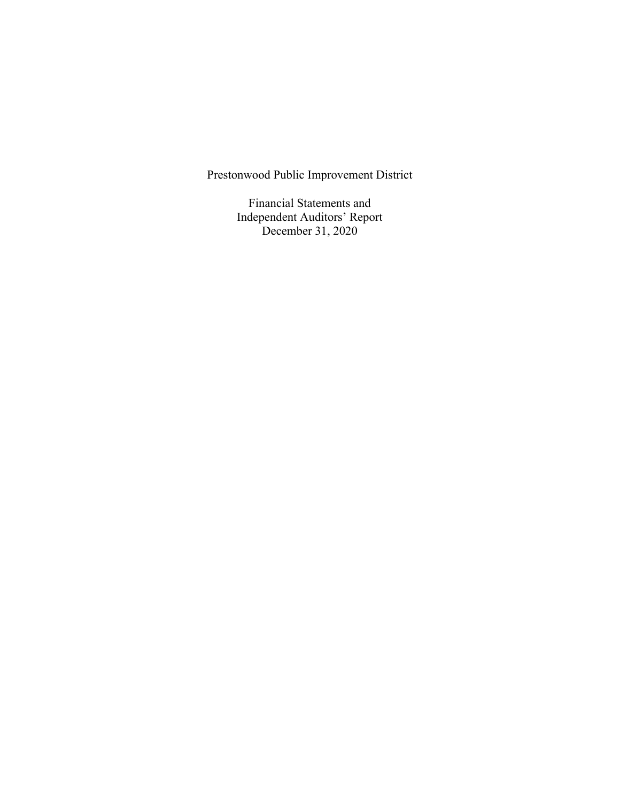Prestonwood Public Improvement District

Financial Statements and Independent Auditors' Report December 31, 2020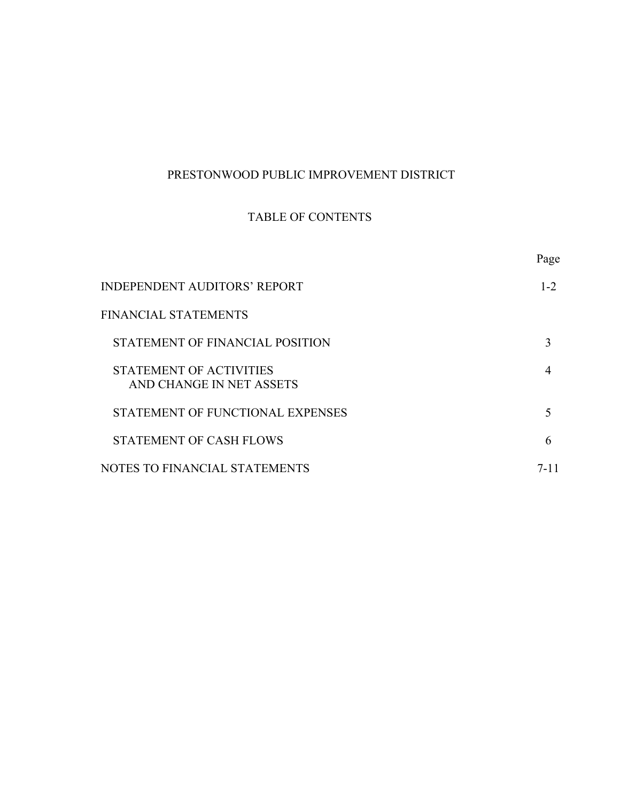# PRESTONWOOD PUBLIC IMPROVEMENT DISTRICT

# TABLE OF CONTENTS

|                                                            | Page    |
|------------------------------------------------------------|---------|
| <b>INDEPENDENT AUDITORS' REPORT</b>                        | $1 - 2$ |
| <b>FINANCIAL STATEMENTS</b>                                |         |
| STATEMENT OF FINANCIAL POSITION                            | 3       |
| <b>STATEMENT OF ACTIVITIES</b><br>AND CHANGE IN NET ASSETS | 4       |
| STATEMENT OF FUNCTIONAL EXPENSES                           | 5       |
| <b>STATEMENT OF CASH FLOWS</b>                             | 6       |
| NOTES TO FINANCIAL STATEMENTS                              | 7-11    |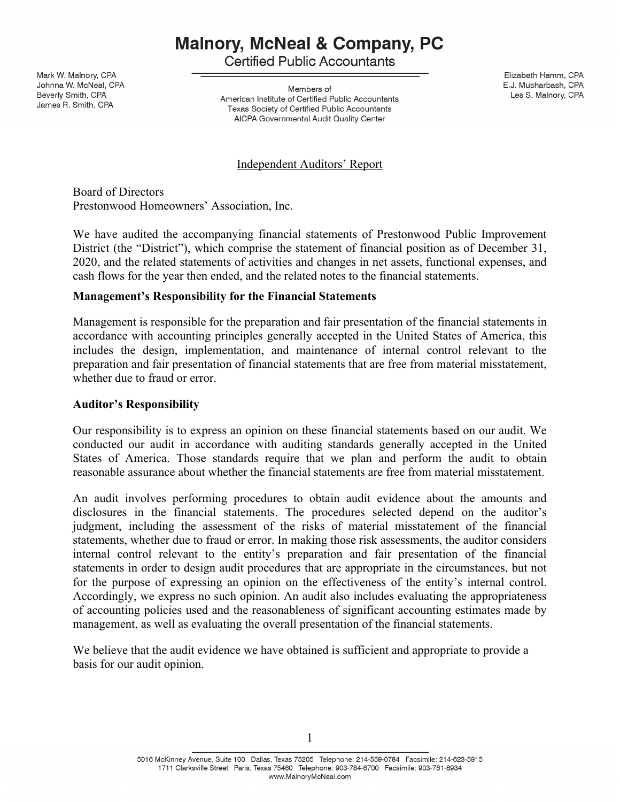# **Malnory, McNeal & Company, PC**

**Certified Public Accountants** 

Mark W. Malnory, CPA Johnna W. McNeal, CPA Beverly Smith, CPA James R. Smith, CPA

Members of American Institute of Certified Public Accountants Texas Society of Certified Public Accountants AICPA Governmental Audit Quality Center

Elizabeth Hamm, CPA E.J. Musharbash, CPA Les S. Malnory, CPA

# Independent Auditors' Report

Board of Directors Prestonwood Homeowners' Association, Inc.

We have audited the accompanying financial statements of Prestonwood Public Improvement District (the "District"), which comprise the statement of financial position as of December 31, 2020, and the related statements of activities and changes in net assets, functional expenses, and cash flows for the year then ended, and the related notes to the financial statements.

### **Management's Responsibility for the Financial Statements**

Management is responsible for the preparation and fair presentation of the financial statements in accordance with accounting principles generally accepted in the United States of America, this includes the design, implementation, and maintenance of internal control relevant to the preparation and fair presentation of financial statements that are free from material misstatement, whether due to fraud or error.

#### **Auditor's Responsibility**

Our responsibility is to express an opinion on these financial statements based on our audit. We conducted our audit in accordance with auditing standards generally accepted in the United States of America. Those standards require that we plan and perform the audit to obtain reasonable assurance about whether the financial statements are free from material misstatement.

An audit involves performing procedures to obtain audit evidence about the amounts and disclosures in the financial statements. The procedures selected depend on the auditor's judgment, including the assessment of the risks of material misstatement of the financial statements, whether due to fraud or error. In making those risk assessments, the auditor considers internal control relevant to the entity's preparation and fair presentation of the financial statements in order to design audit procedures that are appropriate in the circumstances, but not for the purpose of expressing an opinion on the effectiveness of the entity's internal control. Accordingly, we express no such opinion. An audit also includes evaluating the appropriateness of accounting policies used and the reasonableness of significant accounting estimates made by management, as well as evaluating the overall presentation of the financial statements.

We believe that the audit evidence we have obtained is sufficient and appropriate to provide a basis for our audit opinion.

<sup>5016</sup> McKinney Avenue, Suite 100 Dallas, Texas 75205 Telephone: 214-559-0784 Facsimile: 214-623-5915 1711 Clarksville Street Paris, Texas 75460 Telephone: 903-784-6700 Facsimile: 903-761-6934 www.MalnoryMcNeal.com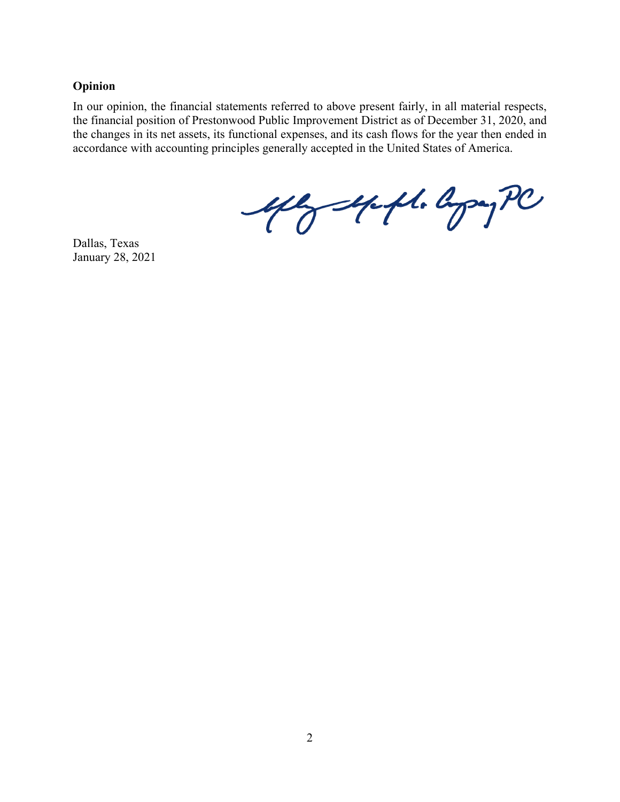# **Opinion**

In our opinion, the financial statements referred to above present fairly, in all material respects, the financial position of Prestonwood Public Improvement District as of December 31, 2020, and the changes in its net assets, its functional expenses, and its cash flows for the year then ended in accordance with accounting principles generally accepted in the United States of America.

up up fl. apape

 Dallas, Texas January 28, 2021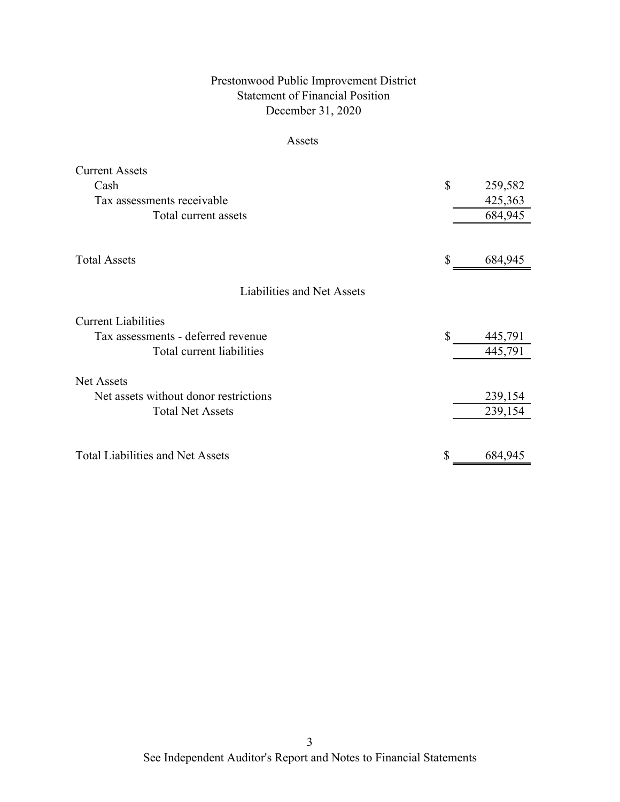# Statement of Financial Position Prestonwood Public Improvement District December 31, 2020

#### Assets

| <b>Current Assets</b>                   |    |         |
|-----------------------------------------|----|---------|
| Cash                                    | \$ | 259,582 |
| Tax assessments receivable              |    | 425,363 |
| Total current assets                    |    | 684,945 |
|                                         |    |         |
| <b>Total Assets</b>                     | S  | 684,945 |
| Liabilities and Net Assets              |    |         |
| <b>Current Liabilities</b>              |    |         |
| Tax assessments - deferred revenue      | S  | 445,791 |
| Total current liabilities               |    | 445,791 |
| <b>Net Assets</b>                       |    |         |
| Net assets without donor restrictions   |    | 239,154 |
| <b>Total Net Assets</b>                 |    | 239,154 |
| <b>Total Liabilities and Net Assets</b> |    |         |
|                                         | \$ | 684,945 |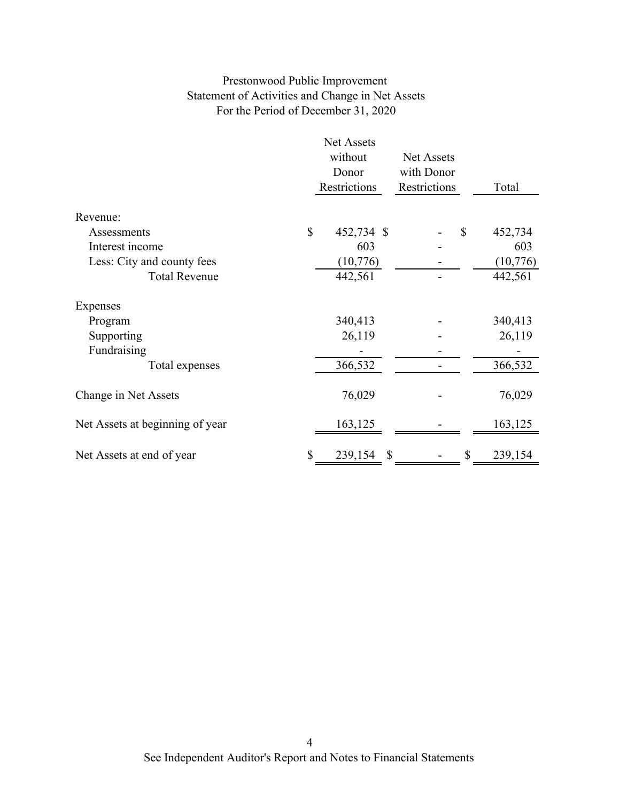# Prestonwood Public Improvement Statement of Activities and Change in Net Assets For the Period of December 31, 2020

|                                 | Net Assets<br>without<br>Donor<br>Restrictions | Net Assets<br>with Donor<br>Restrictions |              | Total    |
|---------------------------------|------------------------------------------------|------------------------------------------|--------------|----------|
| Revenue:                        |                                                |                                          |              |          |
| Assessments                     | \$<br>452,734 \$                               |                                          | $\mathbb{S}$ | 452,734  |
| Interest income                 | 603                                            |                                          |              | 603      |
| Less: City and county fees      | (10,776)                                       |                                          |              | (10,776) |
| <b>Total Revenue</b>            | 442,561                                        |                                          |              | 442,561  |
| Expenses                        |                                                |                                          |              |          |
| Program                         | 340,413                                        |                                          |              | 340,413  |
| Supporting                      | 26,119                                         |                                          |              | 26,119   |
| Fundraising                     |                                                |                                          |              |          |
| Total expenses                  | 366,532                                        |                                          |              | 366,532  |
| Change in Net Assets            | 76,029                                         |                                          |              | 76,029   |
| Net Assets at beginning of year | 163,125                                        |                                          |              | 163,125  |
| Net Assets at end of year       | \$<br>239,154<br>\$                            |                                          | \$           | 239,154  |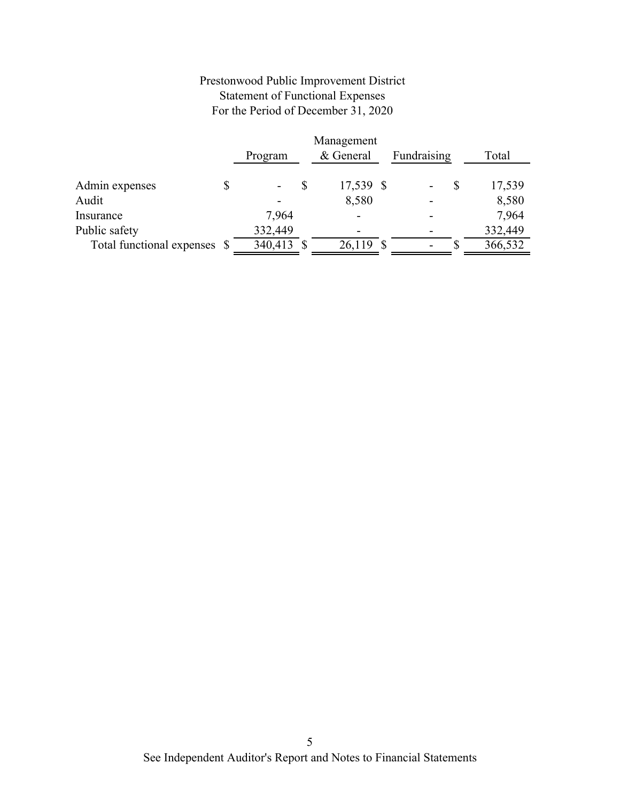# Prestonwood Public Improvement District Statement of Functional Expenses For the Period of December 31, 2020

|                              |         |   | Management |             |    |         |
|------------------------------|---------|---|------------|-------------|----|---------|
|                              | Program |   | & General  | Fundraising |    | Total   |
| Admin expenses               | \$      | S | 17,539 \$  |             | \$ | 17,539  |
| Audit                        |         |   | 8,580      |             |    | 8,580   |
| Insurance                    | 7,964   |   |            |             |    | 7,964   |
| Public safety                | 332,449 |   |            |             |    | 332,449 |
| Total functional expenses \$ | 340,413 |   | 26,119 \$  |             | Ж, | 366,532 |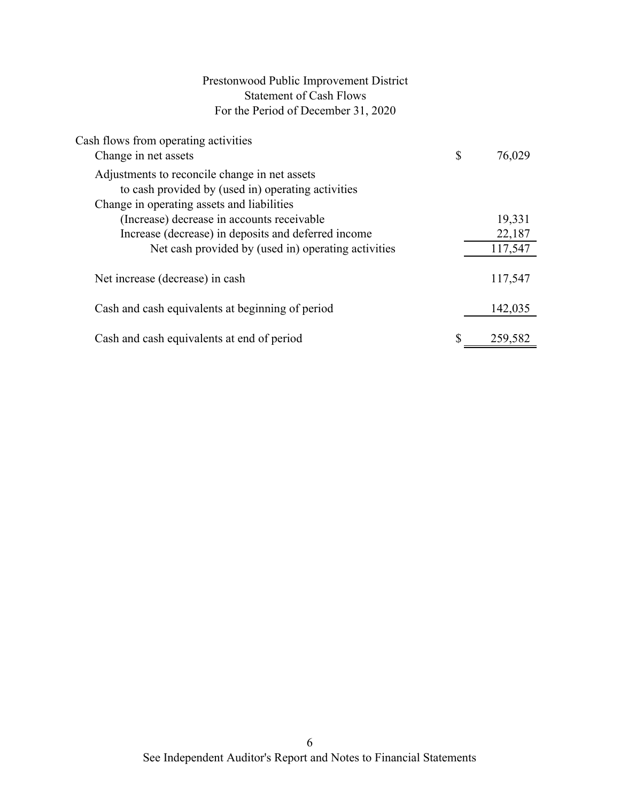# Prestonwood Public Improvement District Statement of Cash Flows For the Period of December 31, 2020

| Cash flows from operating activities                |               |
|-----------------------------------------------------|---------------|
| Change in net assets                                | \$<br>76,029  |
| Adjustments to reconcile change in net assets       |               |
| to cash provided by (used in) operating activities  |               |
| Change in operating assets and liabilities          |               |
| (Increase) decrease in accounts receivable          | 19,331        |
| Increase (decrease) in deposits and deferred income | 22,187        |
| Net cash provided by (used in) operating activities | 117,547       |
| Net increase (decrease) in cash                     | 117,547       |
| Cash and cash equivalents at beginning of period    | 142,035       |
| Cash and cash equivalents at end of period          | \$<br>259,582 |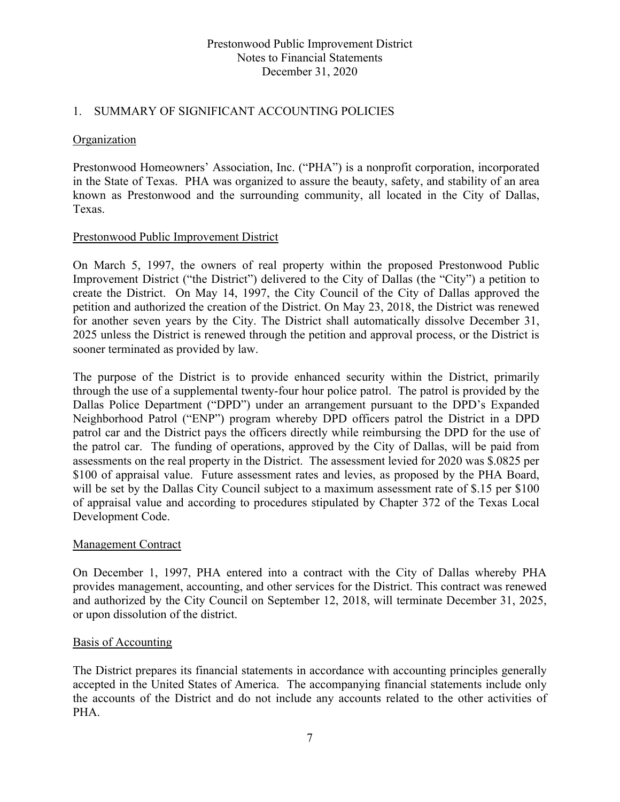# 1. SUMMARY OF SIGNIFICANT ACCOUNTING POLICIES

#### Organization

Prestonwood Homeowners' Association, Inc. ("PHA") is a nonprofit corporation, incorporated in the State of Texas. PHA was organized to assure the beauty, safety, and stability of an area known as Prestonwood and the surrounding community, all located in the City of Dallas, Texas.

#### Prestonwood Public Improvement District

 On March 5, 1997, the owners of real property within the proposed Prestonwood Public Improvement District ("the District") delivered to the City of Dallas (the "City") a petition to create the District. On May 14, 1997, the City Council of the City of Dallas approved the petition and authorized the creation of the District. On May 23, 2018, the District was renewed for another seven years by the City. The District shall automatically dissolve December 31, 2025 unless the District is renewed through the petition and approval process, or the District is sooner terminated as provided by law.

The purpose of the District is to provide enhanced security within the District, primarily through the use of a supplemental twenty-four hour police patrol. The patrol is provided by the Dallas Police Department ("DPD") under an arrangement pursuant to the DPD's Expanded Neighborhood Patrol ("ENP") program whereby DPD officers patrol the District in a DPD patrol car and the District pays the officers directly while reimbursing the DPD for the use of the patrol car. The funding of operations, approved by the City of Dallas, will be paid from assessments on the real property in the District. The assessment levied for 2020 was \$.0825 per \$100 of appraisal value. Future assessment rates and levies, as proposed by the PHA Board, will be set by the Dallas City Council subject to a maximum assessment rate of \$.15 per \$100 of appraisal value and according to procedures stipulated by Chapter 372 of the Texas Local Development Code.

### Management Contract

On December 1, 1997, PHA entered into a contract with the City of Dallas whereby PHA provides management, accounting, and other services for the District. This contract was renewed and authorized by the City Council on September 12, 2018, will terminate December 31, 2025, or upon dissolution of the district.

#### Basis of Accounting

The District prepares its financial statements in accordance with accounting principles generally accepted in the United States of America. The accompanying financial statements include only the accounts of the District and do not include any accounts related to the other activities of PHA.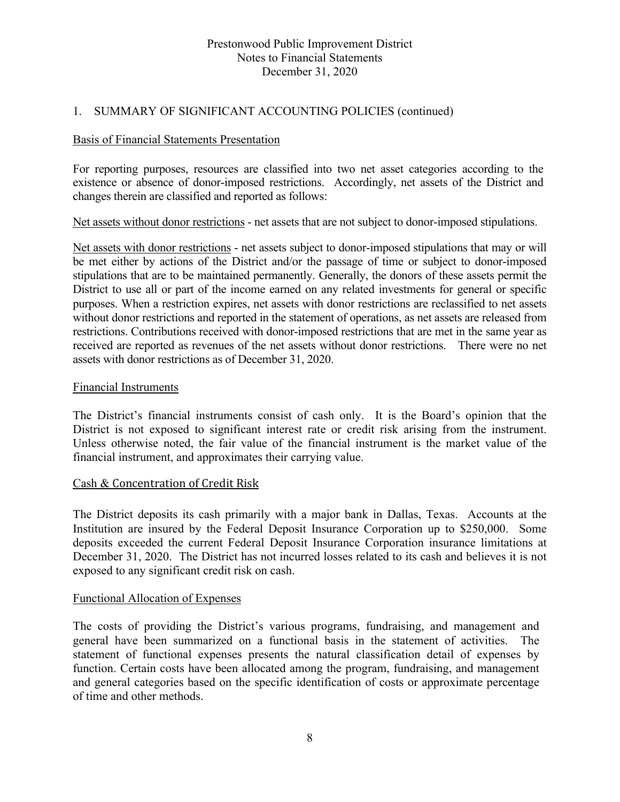# 1. SUMMARY OF SIGNIFICANT ACCOUNTING POLICIES (continued)

#### Basis of Financial Statements Presentation

For reporting purposes, resources are classified into two net asset categories according to the existence or absence of donor-imposed restrictions. Accordingly, net assets of the District and changes therein are classified and reported as follows:

Net assets without donor restrictions - net assets that are not subject to donor-imposed stipulations.

Net assets with donor restrictions - net assets subject to donor-imposed stipulations that may or will be met either by actions of the District and/or the passage of time or subject to donor-imposed stipulations that are to be maintained permanently. Generally, the donors of these assets permit the District to use all or part of the income earned on any related investments for general or specific purposes. When a restriction expires, net assets with donor restrictions are reclassified to net assets without donor restrictions and reported in the statement of operations, as net assets are released from restrictions. Contributions received with donor-imposed restrictions that are met in the same year as received are reported as revenues of the net assets without donor restrictions. There were no net assets with donor restrictions as of December 31, 2020.

#### Financial Instruments

The District's financial instruments consist of cash only. It is the Board's opinion that the District is not exposed to significant interest rate or credit risk arising from the instrument. Unless otherwise noted, the fair value of the financial instrument is the market value of the financial instrument, and approximates their carrying value.

#### Cash & Concentration of Credit Risk

The District deposits its cash primarily with a major bank in Dallas, Texas. Accounts at the Institution are insured by the Federal Deposit Insurance Corporation up to \$250,000. Some deposits exceeded the current Federal Deposit Insurance Corporation insurance limitations at December 31, 2020. The District has not incurred losses related to its cash and believes it is not exposed to any significant credit risk on cash.

### Functional Allocation of Expenses

The costs of providing the District's various programs, fundraising, and management and general have been summarized on a functional basis in the statement of activities. The statement of functional expenses presents the natural classification detail of expenses by function. Certain costs have been allocated among the program, fundraising, and management and general categories based on the specific identification of costs or approximate percentage of time and other methods.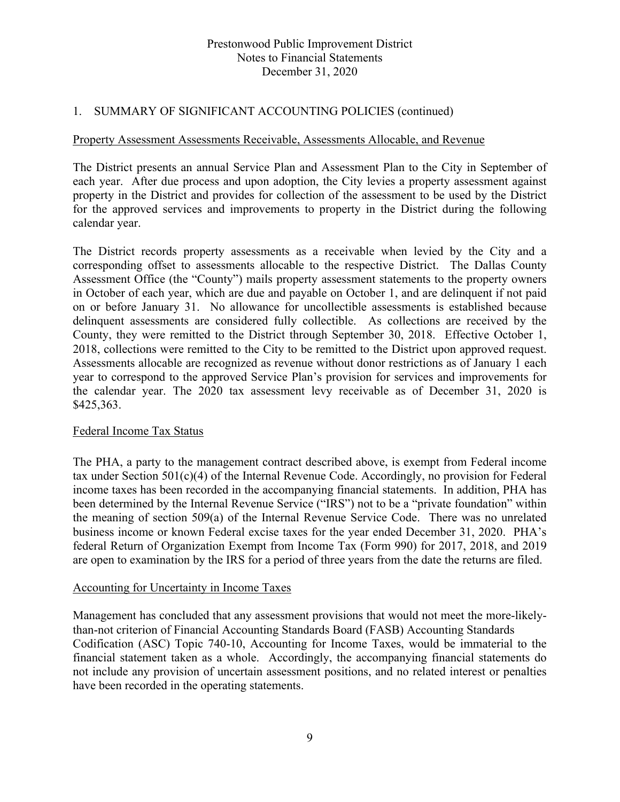# 1. SUMMARY OF SIGNIFICANT ACCOUNTING POLICIES (continued)

#### Property Assessment Assessments Receivable, Assessments Allocable, and Revenue

The District presents an annual Service Plan and Assessment Plan to the City in September of each year. After due process and upon adoption, the City levies a property assessment against property in the District and provides for collection of the assessment to be used by the District for the approved services and improvements to property in the District during the following calendar year.

The District records property assessments as a receivable when levied by the City and a corresponding offset to assessments allocable to the respective District. The Dallas County Assessment Office (the "County") mails property assessment statements to the property owners in October of each year, which are due and payable on October 1, and are delinquent if not paid on or before January 31. No allowance for uncollectible assessments is established because delinquent assessments are considered fully collectible. As collections are received by the County, they were remitted to the District through September 30, 2018. Effective October 1, 2018, collections were remitted to the City to be remitted to the District upon approved request. Assessments allocable are recognized as revenue without donor restrictions as of January 1 each year to correspond to the approved Service Plan's provision for services and improvements for the calendar year. The 2020 tax assessment levy receivable as of December 31, 2020 is \$425,363.

# Federal Income Tax Status

The PHA, a party to the management contract described above, is exempt from Federal income tax under Section 501(c)(4) of the Internal Revenue Code. Accordingly, no provision for Federal income taxes has been recorded in the accompanying financial statements. In addition, PHA has been determined by the Internal Revenue Service ("IRS") not to be a "private foundation" within the meaning of section 509(a) of the Internal Revenue Service Code. There was no unrelated business income or known Federal excise taxes for the year ended December 31, 2020. PHA's federal Return of Organization Exempt from Income Tax (Form 990) for 2017, 2018, and 2019 are open to examination by the IRS for a period of three years from the date the returns are filed.

#### Accounting for Uncertainty in Income Taxes

Management has concluded that any assessment provisions that would not meet the more-likelythan-not criterion of Financial Accounting Standards Board (FASB) Accounting Standards Codification (ASC) Topic 740-10, Accounting for Income Taxes, would be immaterial to the financial statement taken as a whole. Accordingly, the accompanying financial statements do not include any provision of uncertain assessment positions, and no related interest or penalties have been recorded in the operating statements.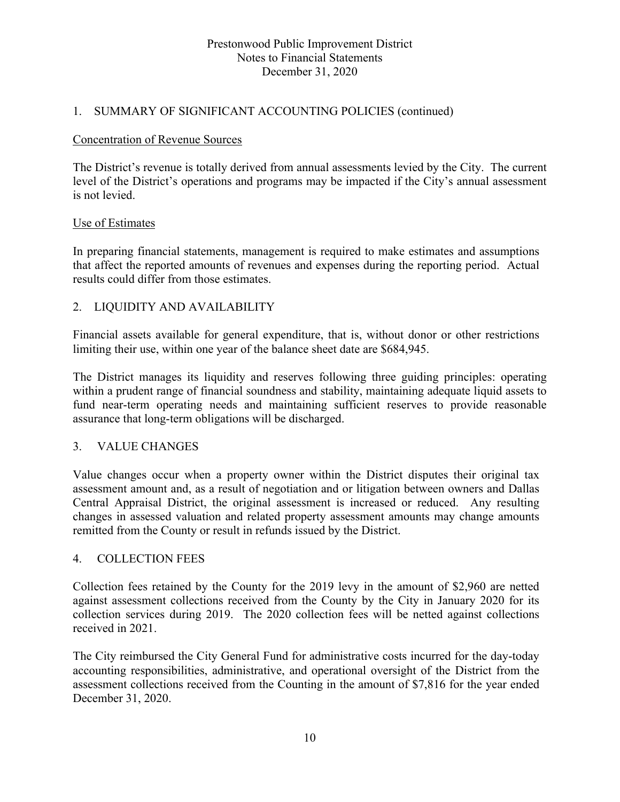# 1. SUMMARY OF SIGNIFICANT ACCOUNTING POLICIES (continued)

#### Concentration of Revenue Sources

The District's revenue is totally derived from annual assessments levied by the City. The current level of the District's operations and programs may be impacted if the City's annual assessment is not levied.

#### Use of Estimates

In preparing financial statements, management is required to make estimates and assumptions that affect the reported amounts of revenues and expenses during the reporting period. Actual results could differ from those estimates.

# 2. LIQUIDITY AND AVAILABILITY

Financial assets available for general expenditure, that is, without donor or other restrictions limiting their use, within one year of the balance sheet date are \$684,945.

The District manages its liquidity and reserves following three guiding principles: operating within a prudent range of financial soundness and stability, maintaining adequate liquid assets to fund near-term operating needs and maintaining sufficient reserves to provide reasonable assurance that long-term obligations will be discharged.

### 3. VALUE CHANGES

Value changes occur when a property owner within the District disputes their original tax assessment amount and, as a result of negotiation and or litigation between owners and Dallas Central Appraisal District, the original assessment is increased or reduced. Any resulting changes in assessed valuation and related property assessment amounts may change amounts remitted from the County or result in refunds issued by the District.

### 4. COLLECTION FEES

Collection fees retained by the County for the 2019 levy in the amount of \$2,960 are netted against assessment collections received from the County by the City in January 2020 for its collection services during 2019. The 2020 collection fees will be netted against collections received in 2021.

The City reimbursed the City General Fund for administrative costs incurred for the day-today accounting responsibilities, administrative, and operational oversight of the District from the assessment collections received from the Counting in the amount of \$7,816 for the year ended December 31, 2020.